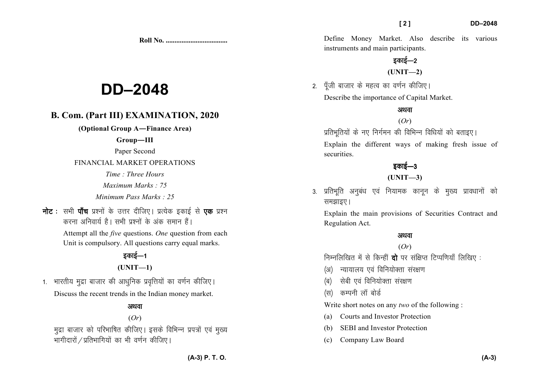**Roll No. ...................................** 

# **DD–2048**

# **B. Com. (Part III) EXAMINATION, 2020**

**(Optional Group A—Finance Area)** 

#### **Group—III**

Paper Second

FINANCIAL MARKET OPERATIONS

*Time : Three Hours* 

*Maximum Marks : 75* 

*Minimum Pass Marks : 25*

नोट : सभी पाँच प्रश्नों के उत्तर दीजिए। प्रत्येक इकाई से **एक** प्रश्न करना अनिवार्य है। सभी प्रश्नों के अंक समान हैं।

> Attempt all the *five* questions. *One* question from each Unit is compulsory. All questions carry equal marks.

## दकाई—1 **(UNIT—1)**

1. भारतीय मुद्रा बाजार की आधुनिक प्रवृत्तियों का वर्णन कीजिए। Discuss the recent trends in the Indian money market.

#### अथवा

#### (*Or*)

मुद्रा बाजार को परिभाषित कीजिए। इसके विभिन्न प्रपत्रों एवं मुख्य भागीदारों / प्रतिभागियों का भी वर्णन कीजिए ।

Define Money Market. Also describe its various instruments and main participants.

# $\overline{5}$ का $\overline{5}-2$ **(UNIT—2)**

2. पूँजी बाजार के महत्व का वर्णन कीजिए। Describe the importance of Capital Market.

#### अथवा (*Or*)

प्रतिभूतियों के नए निर्गमन की विभिन्न विधियों को बताइए।

Explain the different ways of making fresh issue ofsecurities.

# इकाई $-3$

### **(UNIT—3)**

3. प्रतिभूति अनुबंध एवं नियामक कानुन के मुख्य प्रावधानों को समझाइए।

Explain the main provisions of Securities Contract and Regulation Act.

#### अथवा

#### (*Or*)

निम्नलिखित में से किन्हीं **दो** पर संक्षिप्त टिप्पणियाँ लिखिए :

- (अ) न्यायालय एवं विनियोक्ता संरक्षण
- (ब) सेबी एवं विनियोक्ता संरक्षण
- (स) कम्पनी लॉ बोर्ड

Write short notes on any *two* of the following :

- (a) Courts and Investor Protection
- (b) SEBI and Investor Protection
- (c) Company Law Board